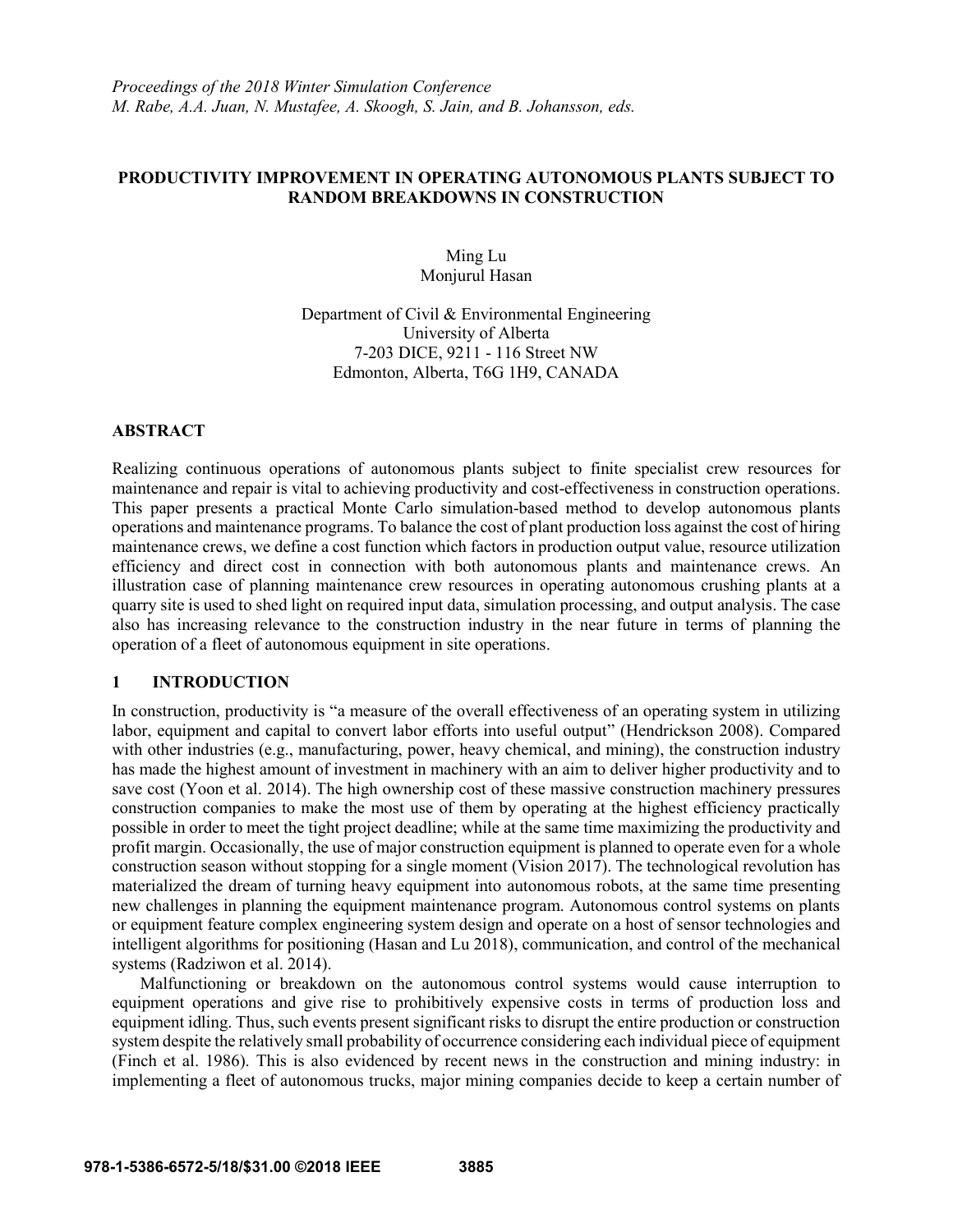*Proceedings of the 2018 Winter Simulation Conference M. Rabe, A.A. Juan, N. Mustafee, A. Skoogh, S. Jain, and B. Johansson, eds.*

## **PRODUCTIVITY IMPROVEMENT IN OPERATING AUTONOMOUS PLANTS SUBJECT TO RANDOM BREAKDOWNS IN CONSTRUCTION**

Ming Lu Monjurul Hasan

Department of Civil & Environmental Engineering University of Alberta 7-203 DICE, 9211 - 116 Street NW Edmonton, Alberta, T6G 1H9, CANADA

### **ABSTRACT**

Realizing continuous operations of autonomous plants subject to finite specialist crew resources for maintenance and repair is vital to achieving productivity and cost-effectiveness in construction operations. This paper presents a practical Monte Carlo simulation-based method to develop autonomous plants operations and maintenance programs. To balance the cost of plant production loss against the cost of hiring maintenance crews, we define a cost function which factors in production output value, resource utilization efficiency and direct cost in connection with both autonomous plants and maintenance crews. An illustration case of planning maintenance crew resources in operating autonomous crushing plants at a quarry site is used to shed light on required input data, simulation processing, and output analysis. The case also has increasing relevance to the construction industry in the near future in terms of planning the operation of a fleet of autonomous equipment in site operations.

### **1 INTRODUCTION**

In construction, productivity is "a measure of the overall effectiveness of an operating system in utilizing labor, equipment and capital to convert labor efforts into useful output" (Hendrickson 2008). Compared with other industries (e.g., manufacturing, power, heavy chemical, and mining), the construction industry has made the highest amount of investment in machinery with an aim to deliver higher productivity and to save cost (Yoon et al. 2014). The high ownership cost of these massive construction machinery pressures construction companies to make the most use of them by operating at the highest efficiency practically possible in order to meet the tight project deadline; while at the same time maximizing the productivity and profit margin. Occasionally, the use of major construction equipment is planned to operate even for a whole construction season without stopping for a single moment (Vision 2017). The technological revolution has materialized the dream of turning heavy equipment into autonomous robots, at the same time presenting new challenges in planning the equipment maintenance program. Autonomous control systems on plants or equipment feature complex engineering system design and operate on a host of sensor technologies and intelligent algorithms for positioning (Hasan and Lu 2018), communication, and control of the mechanical systems (Radziwon et al. 2014).

Malfunctioning or breakdown on the autonomous control systems would cause interruption to equipment operations and give rise to prohibitively expensive costs in terms of production loss and equipment idling. Thus, such events present significant risks to disrupt the entire production or construction system despite the relatively small probability of occurrence considering each individual piece of equipment (Finch et al. 1986). This is also evidenced by recent news in the construction and mining industry: in implementing a fleet of autonomous trucks, major mining companies decide to keep a certain number of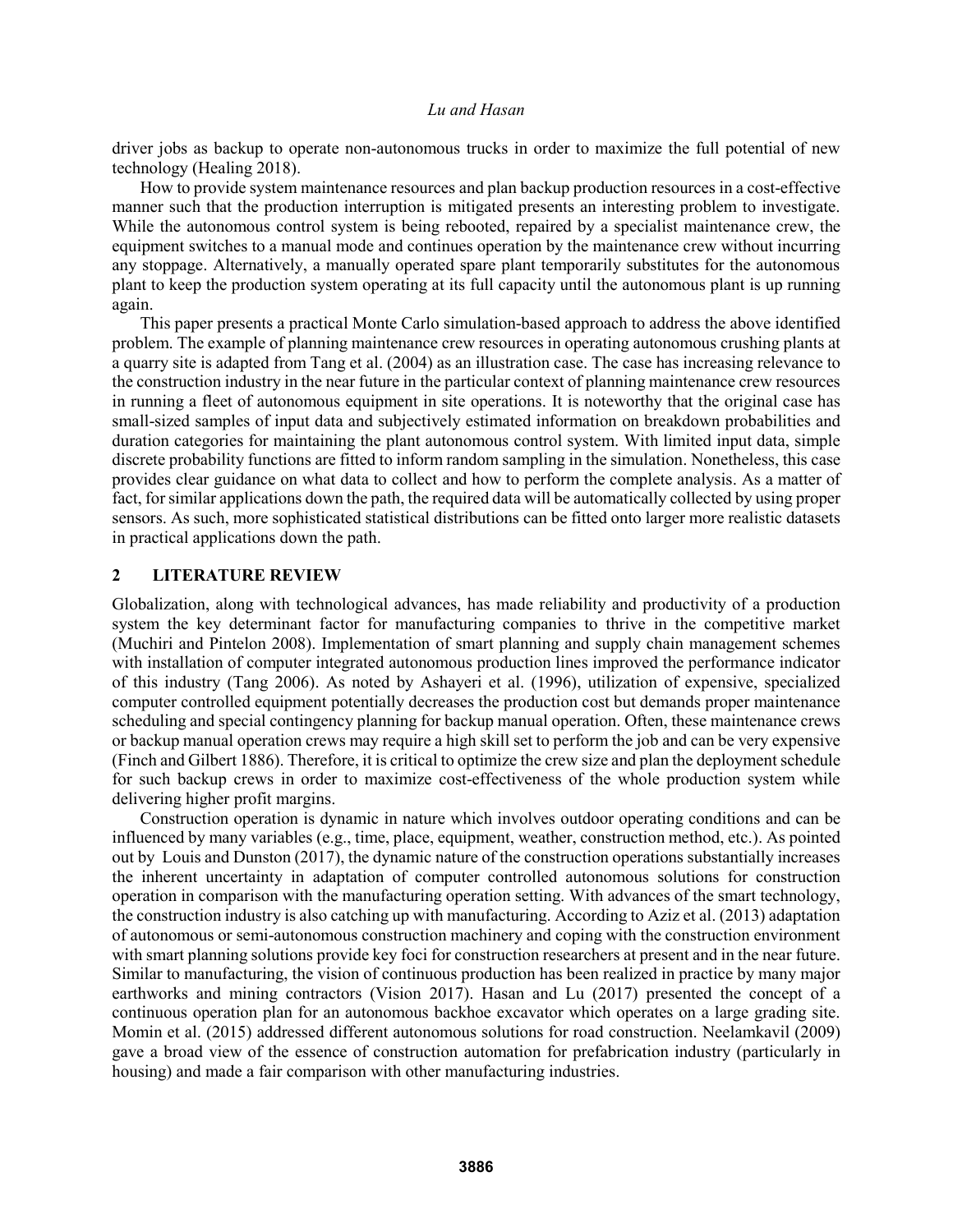driver jobs as backup to operate non-autonomous trucks in order to maximize the full potential of new technology (Healing 2018).

How to provide system maintenance resources and plan backup production resources in a cost-effective manner such that the production interruption is mitigated presents an interesting problem to investigate. While the autonomous control system is being rebooted, repaired by a specialist maintenance crew, the equipment switches to a manual mode and continues operation by the maintenance crew without incurring any stoppage. Alternatively, a manually operated spare plant temporarily substitutes for the autonomous plant to keep the production system operating at its full capacity until the autonomous plant is up running again.

This paper presents a practical Monte Carlo simulation-based approach to address the above identified problem. The example of planning maintenance crew resources in operating autonomous crushing plants at a quarry site is adapted from Tang et al. (2004) as an illustration case. The case has increasing relevance to the construction industry in the near future in the particular context of planning maintenance crew resources in running a fleet of autonomous equipment in site operations. It is noteworthy that the original case has small-sized samples of input data and subjectively estimated information on breakdown probabilities and duration categories for maintaining the plant autonomous control system. With limited input data, simple discrete probability functions are fitted to inform random sampling in the simulation. Nonetheless, this case provides clear guidance on what data to collect and how to perform the complete analysis. As a matter of fact, for similar applications down the path, the required data will be automatically collected by using proper sensors. As such, more sophisticated statistical distributions can be fitted onto larger more realistic datasets in practical applications down the path.

### **2 LITERATURE REVIEW**

Globalization, along with technological advances, has made reliability and productivity of a production system the key determinant factor for manufacturing companies to thrive in the competitive market (Muchiri and Pintelon 2008). Implementation of smart planning and supply chain management schemes with installation of computer integrated autonomous production lines improved the performance indicator of this industry (Tang 2006). As noted by Ashayeri et al. (1996), utilization of expensive, specialized computer controlled equipment potentially decreases the production cost but demands proper maintenance scheduling and special contingency planning for backup manual operation. Often, these maintenance crews or backup manual operation crews may require a high skill set to perform the job and can be very expensive (Finch and Gilbert 1886). Therefore, it is critical to optimize the crew size and plan the deployment schedule for such backup crews in order to maximize cost-effectiveness of the whole production system while delivering higher profit margins.

Construction operation is dynamic in nature which involves outdoor operating conditions and can be influenced by many variables (e.g., time, place, equipment, weather, construction method, etc.). As pointed out by Louis and Dunston (2017), the dynamic nature of the construction operations substantially increases the inherent uncertainty in adaptation of computer controlled autonomous solutions for construction operation in comparison with the manufacturing operation setting. With advances of the smart technology, the construction industry is also catching up with manufacturing. According to Aziz et al. (2013) adaptation of autonomous or semi-autonomous construction machinery and coping with the construction environment with smart planning solutions provide key foci for construction researchers at present and in the near future. Similar to manufacturing, the vision of continuous production has been realized in practice by many major earthworks and mining contractors (Vision 2017). Hasan and Lu (2017) presented the concept of a continuous operation plan for an autonomous backhoe excavator which operates on a large grading site. Momin et al. (2015) addressed different autonomous solutions for road construction. Neelamkavil (2009) gave a broad view of the essence of construction automation for prefabrication industry (particularly in housing) and made a fair comparison with other manufacturing industries.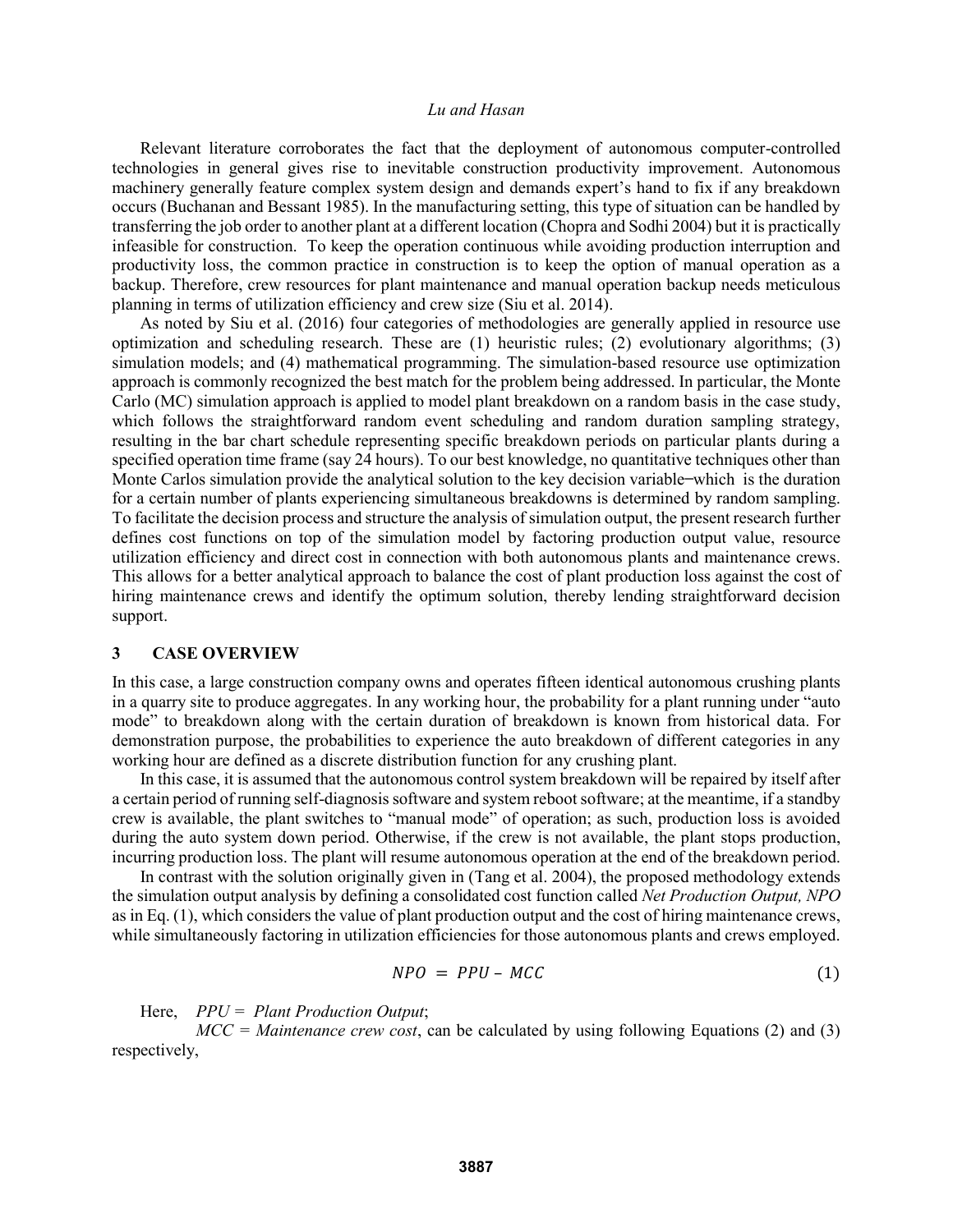Relevant literature corroborates the fact that the deployment of autonomous computer-controlled technologies in general gives rise to inevitable construction productivity improvement. Autonomous machinery generally feature complex system design and demands expert's hand to fix if any breakdown occurs (Buchanan and Bessant 1985). In the manufacturing setting, this type of situation can be handled by transferring the job order to another plant at a different location (Chopra and Sodhi 2004) but it is practically infeasible for construction. To keep the operation continuous while avoiding production interruption and productivity loss, the common practice in construction is to keep the option of manual operation as a backup. Therefore, crew resources for plant maintenance and manual operation backup needs meticulous planning in terms of utilization efficiency and crew size (Siu et al. 2014).

As noted by Siu et al. (2016) four categories of methodologies are generally applied in resource use optimization and scheduling research. These are (1) heuristic rules; (2) evolutionary algorithms; (3) simulation models; and (4) mathematical programming. The simulation-based resource use optimization approach is commonly recognized the best match for the problem being addressed. In particular, the Monte Carlo (MC) simulation approach is applied to model plant breakdown on a random basis in the case study, which follows the straightforward random event scheduling and random duration sampling strategy, resulting in the bar chart schedule representing specific breakdown periods on particular plants during a specified operation time frame (say 24 hours). To our best knowledge, no quantitative techniques other than Monte Carlos simulation provide the analytical solution to the key decision variable–which is the duration for a certain number of plants experiencing simultaneous breakdowns is determined by random sampling. To facilitate the decision process and structure the analysis of simulation output, the present research further defines cost functions on top of the simulation model by factoring production output value, resource utilization efficiency and direct cost in connection with both autonomous plants and maintenance crews. This allows for a better analytical approach to balance the cost of plant production loss against the cost of hiring maintenance crews and identify the optimum solution, thereby lending straightforward decision support.

## **3 CASE OVERVIEW**

In this case, a large construction company owns and operates fifteen identical autonomous crushing plants in a quarry site to produce aggregates. In any working hour, the probability for a plant running under "auto mode" to breakdown along with the certain duration of breakdown is known from historical data. For demonstration purpose, the probabilities to experience the auto breakdown of different categories in any working hour are defined as a discrete distribution function for any crushing plant.

In this case, it is assumed that the autonomous control system breakdown will be repaired by itself after a certain period of running self-diagnosis software and system reboot software; at the meantime, if a standby crew is available, the plant switches to "manual mode" of operation; as such, production loss is avoided during the auto system down period. Otherwise, if the crew is not available, the plant stops production, incurring production loss. The plant will resume autonomous operation at the end of the breakdown period.

In contrast with the solution originally given in (Tang et al. 2004), the proposed methodology extends the simulation output analysis by defining a consolidated cost function called *Net Production Output, NPO* as in Eq. (1), which considers the value of plant production output and the cost of hiring maintenance crews, while simultaneously factoring in utilization efficiencies for those autonomous plants and crews employed.

$$
NPO = PPU - MCC \tag{1}
$$

Here, *PPU = Plant Production Output*;

*MCC = Maintenance crew cost*, can be calculated by using following Equations (2) and (3) respectively,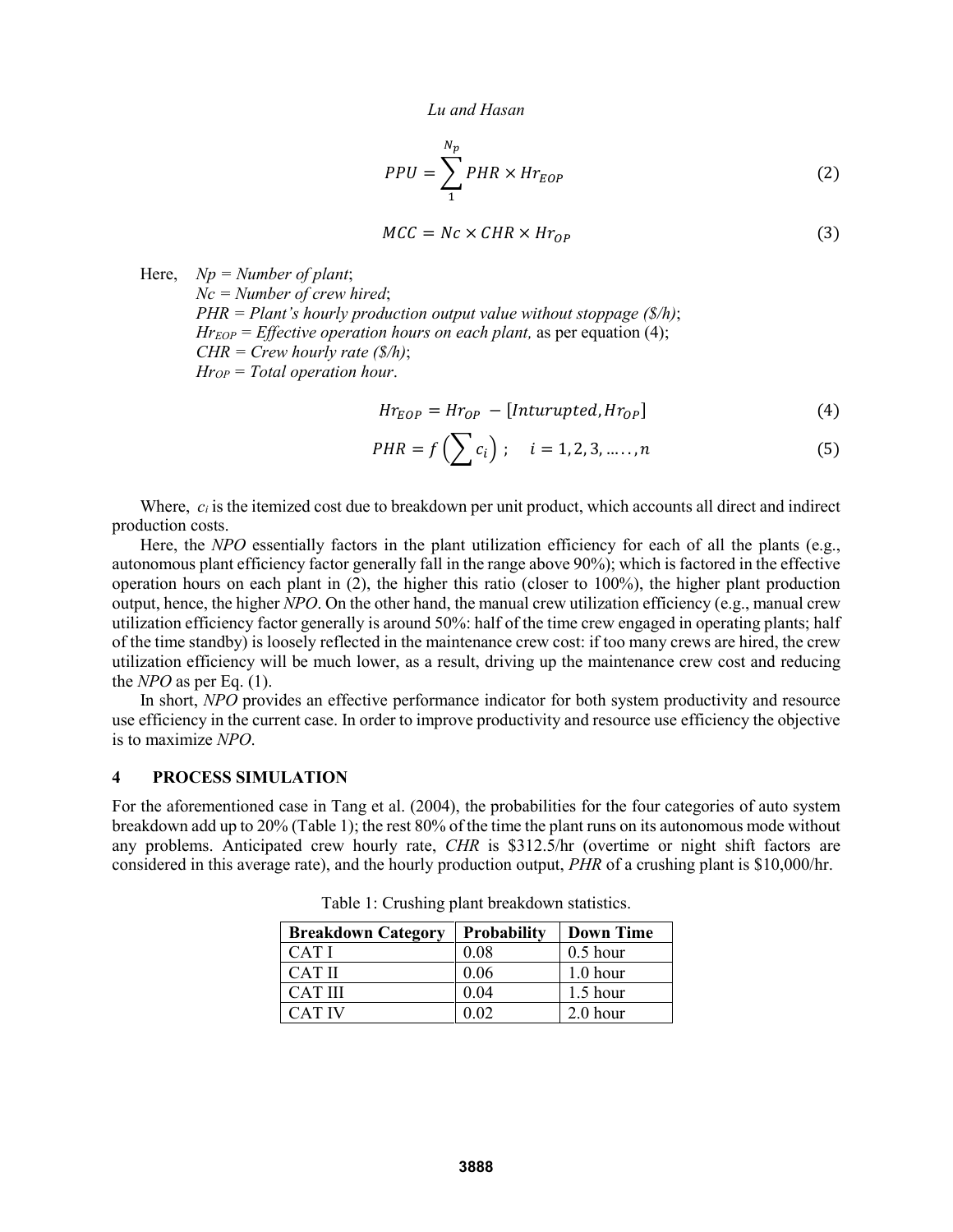$$
PPU = \sum_{1}^{N_p} PHR \times Hr_{EOP}
$$
 (2)

$$
MCC = Nc \times CHR \times Hr_{OP}
$$
 (3)

Here, *Np = Number of plant*; *Nc = Number of crew hired*; *PHR = Plant's hourly production output value without stoppage (\$/h)*; *Hr*<sub>*EOP*</sub> = *Effective operation hours on each plant,* as per equation (4); *CHR = Crew hourly rate (\$/h)*; *HrOP = Total operation hour*.

$$
Hr_{EOP} = Hr_{OP} - [Inturupted, Hr_{OP}] \tag{4}
$$

$$
PHR = f\left(\sum c_i\right); \quad i = 1, 2, 3, \dots, n \tag{5}
$$

Where,  $c_i$  is the itemized cost due to breakdown per unit product, which accounts all direct and indirect production costs.

Here, the *NPO* essentially factors in the plant utilization efficiency for each of all the plants (e.g., autonomous plant efficiency factor generally fall in the range above 90%); which is factored in the effective operation hours on each plant in (2), the higher this ratio (closer to 100%), the higher plant production output, hence, the higher *NPO*. On the other hand, the manual crew utilization efficiency (e.g., manual crew utilization efficiency factor generally is around 50%: half of the time crew engaged in operating plants; half of the time standby) is loosely reflected in the maintenance crew cost: if too many crews are hired, the crew utilization efficiency will be much lower, as a result, driving up the maintenance crew cost and reducing the *NPO* as per Eq. (1).

In short, *NPO* provides an effective performance indicator for both system productivity and resource use efficiency in the current case. In order to improve productivity and resource use efficiency the objective is to maximize *NPO*.

#### **4 PROCESS SIMULATION**

For the aforementioned case in Tang et al. (2004), the probabilities for the four categories of auto system breakdown add up to 20% (Table 1); the rest 80% of the time the plant runs on its autonomous mode without any problems. Anticipated crew hourly rate, *CHR* is \$312.5/hr (overtime or night shift factors are considered in this average rate), and the hourly production output, *PHR* of a crushing plant is \$10,000/hr.

| <b>Breakdown Category</b> | <b>Probability</b> | <b>Down Time</b> |
|---------------------------|--------------------|------------------|
| CAT I                     | 0.08               | $0.5$ hour       |
| CAT II                    | 0.06               | $1.0$ hour       |
| <b>CAT III</b>            | 0.04               | $1.5$ hour       |
| CAT IV                    |                    | 2.0 hour         |

Table 1: Crushing plant breakdown statistics.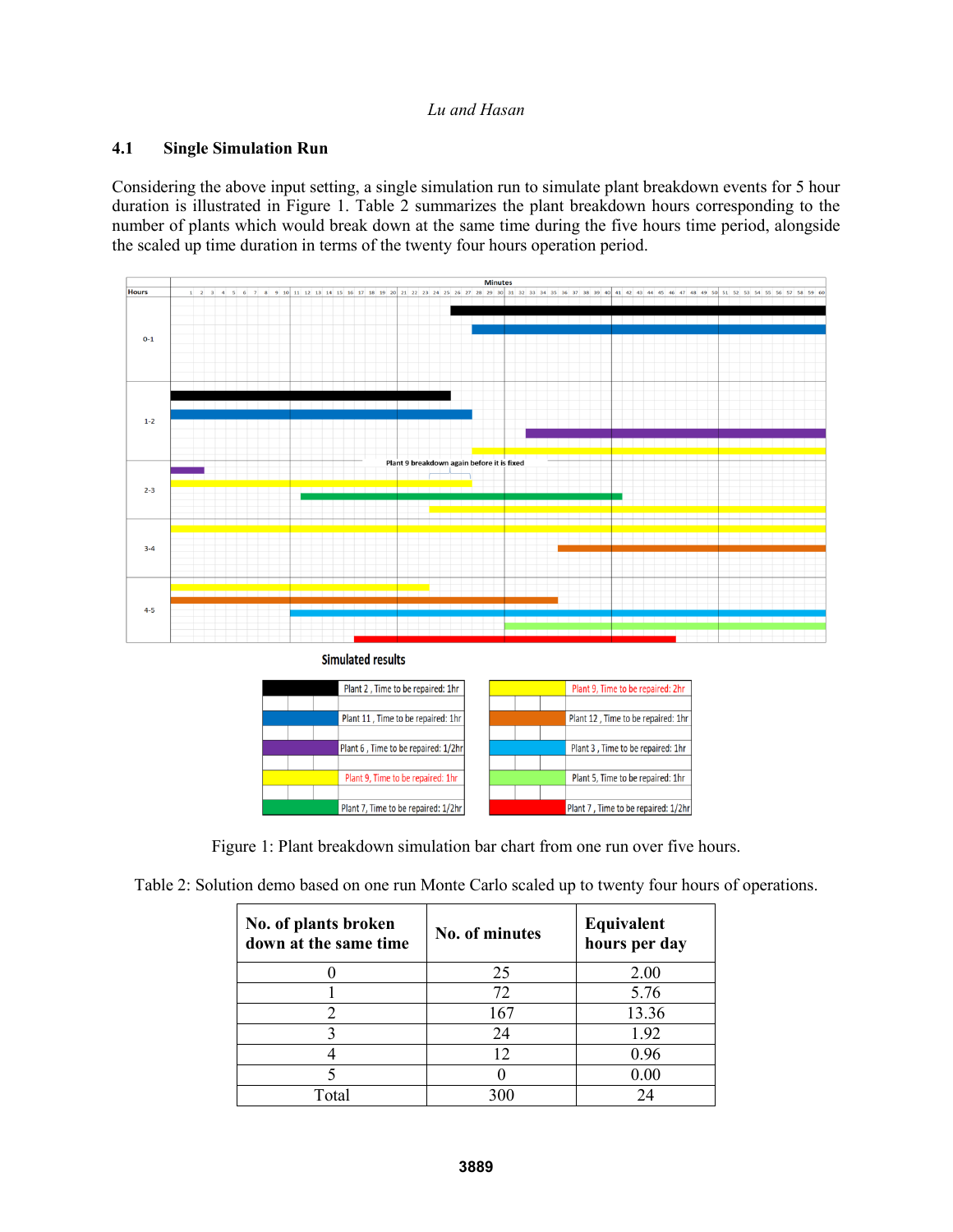# **4.1 Single Simulation Run**

Considering the above input setting, a single simulation run to simulate plant breakdown events for 5 hour duration is illustrated in Figure 1. Table 2 summarizes the plant breakdown hours corresponding to the number of plants which would break down at the same time during the five hours time period, alongside the scaled up time duration in terms of the twenty four hours operation period.



**Simulated results** 



Figure 1: Plant breakdown simulation bar chart from one run over five hours.

|  | Table 2: Solution demo based on one run Monte Carlo scaled up to twenty four hours of operations. |  |
|--|---------------------------------------------------------------------------------------------------|--|
|  |                                                                                                   |  |
|  |                                                                                                   |  |

| No. of plants broken<br>down at the same time | No. of minutes | Equivalent<br>hours per day |
|-----------------------------------------------|----------------|-----------------------------|
|                                               | 25             | 2.00                        |
|                                               | 72             | 5.76                        |
|                                               | 167            | 13.36                       |
|                                               | 24             | 1.92                        |
|                                               |                | 0.96                        |
|                                               |                | 0.00                        |
| $\rm Total$                                   |                |                             |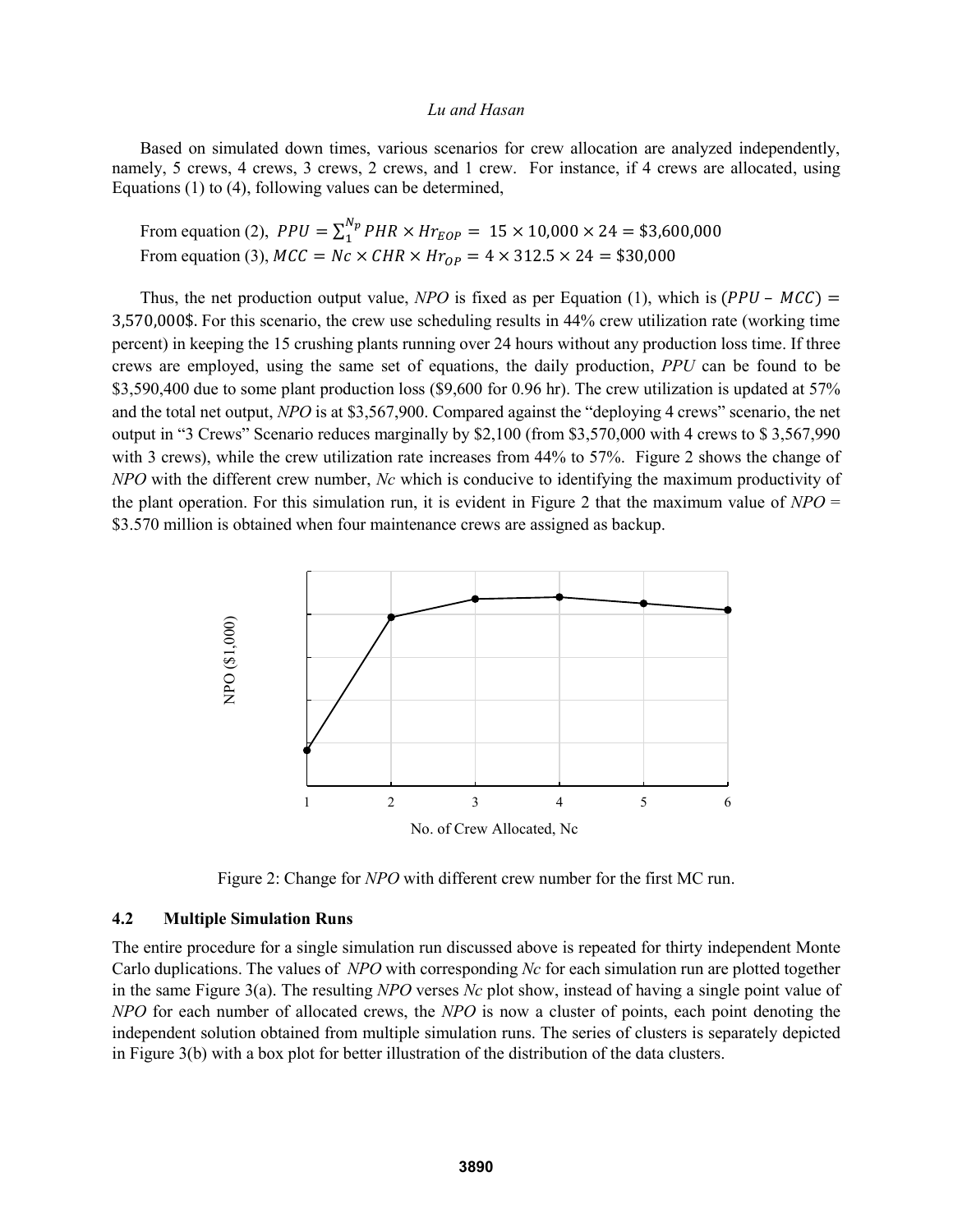Based on simulated down times, various scenarios for crew allocation are analyzed independently, namely, 5 crews, 4 crews, 3 crews, 2 crews, and 1 crew. For instance, if 4 crews are allocated, using Equations (1) to (4), following values can be determined,

From equation (2),  $PPU = \sum_{1}^{N_p} PHR \times Hr_{EOP} = 15 \times 10,000 \times 24 = $3,600,000$ From equation (3),  $MCC = Nc \times CHR \times Hr_{OP} = 4 \times 312.5 \times 24 = $30,000$ 

Thus, the net production output value, *NPO* is fixed as per Equation (1), which is  $(PPU - MCC)$  = 3,570,000\$. For this scenario, the crew use scheduling results in 44% crew utilization rate (working time percent) in keeping the 15 crushing plants running over 24 hours without any production loss time. If three crews are employed, using the same set of equations, the daily production, *PPU* can be found to be \$3,590,400 due to some plant production loss (\$9,600 for 0.96 hr). The crew utilization is updated at 57% and the total net output, *NPO* is at \$3,567,900. Compared against the "deploying 4 crews" scenario, the net output in "3 Crews" Scenario reduces marginally by \$2,100 (from \$3,570,000 with 4 crews to \$ 3,567,990 with 3 crews), while the crew utilization rate increases from 44% to 57%. Figure 2 shows the change of *NPO* with the different crew number, *Nc* which is conducive to identifying the maximum productivity of the plant operation. For this simulation run, it is evident in Figure 2 that the maximum value of *NPO* = \$3.570 million is obtained when four maintenance crews are assigned as backup.



Figure 2: Change for *NPO* with different crew number for the first MC run.

## **4.2 Multiple Simulation Runs**

The entire procedure for a single simulation run discussed above is repeated for thirty independent Monte Carlo duplications. The values of *NPO* with corresponding *Nc* for each simulation run are plotted together in the same Figure 3(a). The resulting *NPO* verses *Nc* plot show, instead of having a single point value of *NPO* for each number of allocated crews, the *NPO* is now a cluster of points, each point denoting the independent solution obtained from multiple simulation runs. The series of clusters is separately depicted in Figure 3(b) with a box plot for better illustration of the distribution of the data clusters.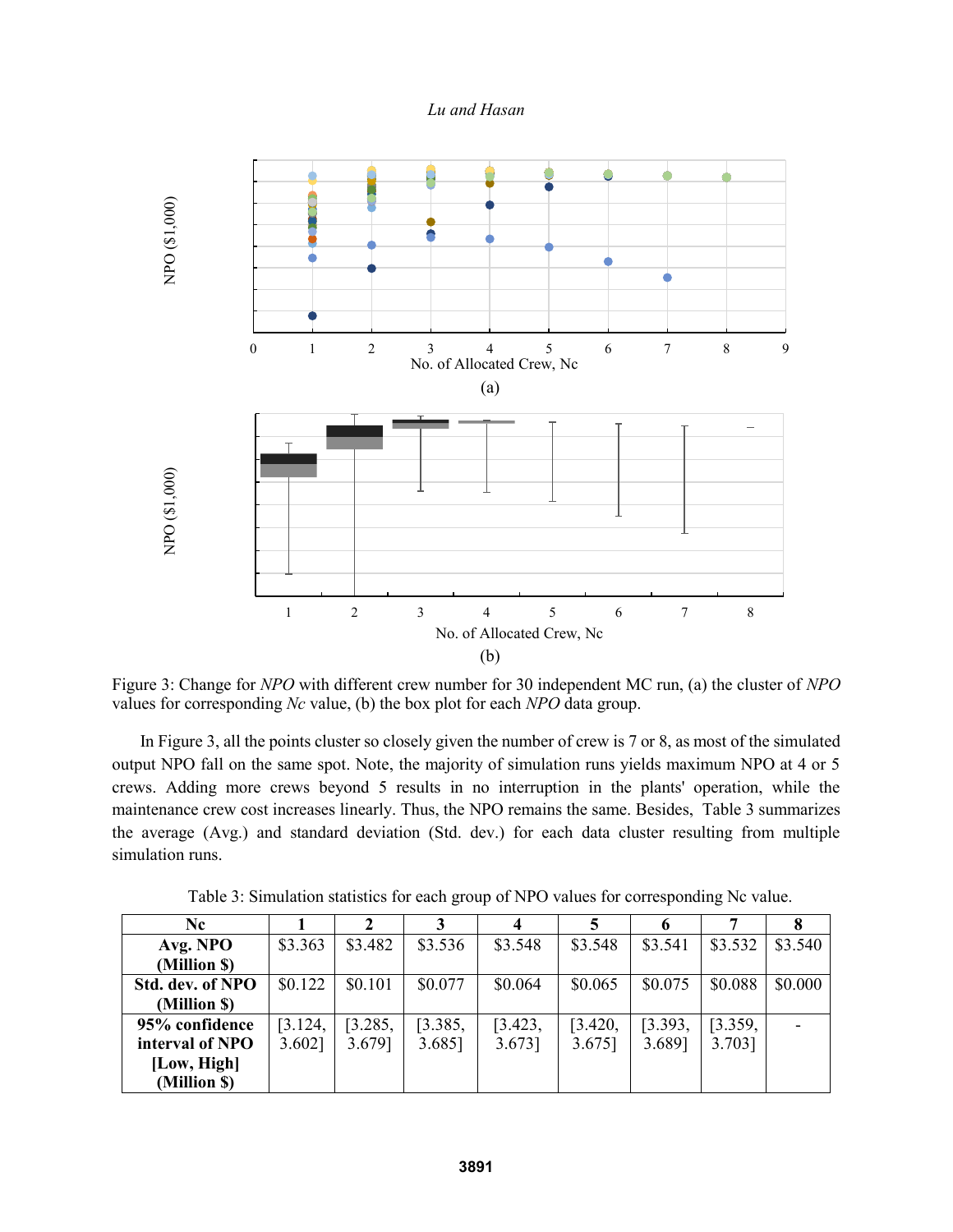*Lu and Hasan*



Figure 3: Change for *NPO* with different crew number for 30 independent MC run, (a) the cluster of *NPO* values for corresponding *Nc* value, (b) the box plot for each *NPO* data group.

In Figure 3, all the points cluster so closely given the number of crew is 7 or 8, as most of the simulated output NPO fall on the same spot. Note, the majority of simulation runs yields maximum NPO at 4 or 5 crews. Adding more crews beyond 5 results in no interruption in the plants' operation, while the maintenance crew cost increases linearly. Thus, the NPO remains the same. Besides, Table 3 summarizes the average (Avg.) and standard deviation (Std. dev.) for each data cluster resulting from multiple simulation runs.

| Nc.              |           |         |         |         |         |         |         |         |
|------------------|-----------|---------|---------|---------|---------|---------|---------|---------|
| Avg. NPO         | \$3.363   | \$3.482 | \$3.536 | \$3.548 | \$3.548 | \$3.541 | \$3.532 | \$3.540 |
| (Million \$)     |           |         |         |         |         |         |         |         |
| Std. dev. of NPO | \$0.122   | \$0.101 | \$0.077 | \$0.064 | \$0.065 | \$0.075 | \$0.088 | \$0.000 |
| (Million \$)     |           |         |         |         |         |         |         |         |
| 95% confidence   | [3.124,   | [3.285, | [3.385, | [3.423, | [3.420, | [3.393] | [3.359, |         |
| interval of NPO  | $3.602$ ] | 3.679]  | 3.685]  | 3.673]  | 3.675]  | 3.689]  | 3.703]  |         |
| [Low, High]      |           |         |         |         |         |         |         |         |
| (Million \$)     |           |         |         |         |         |         |         |         |

Table 3: Simulation statistics for each group of NPO values for corresponding Nc value.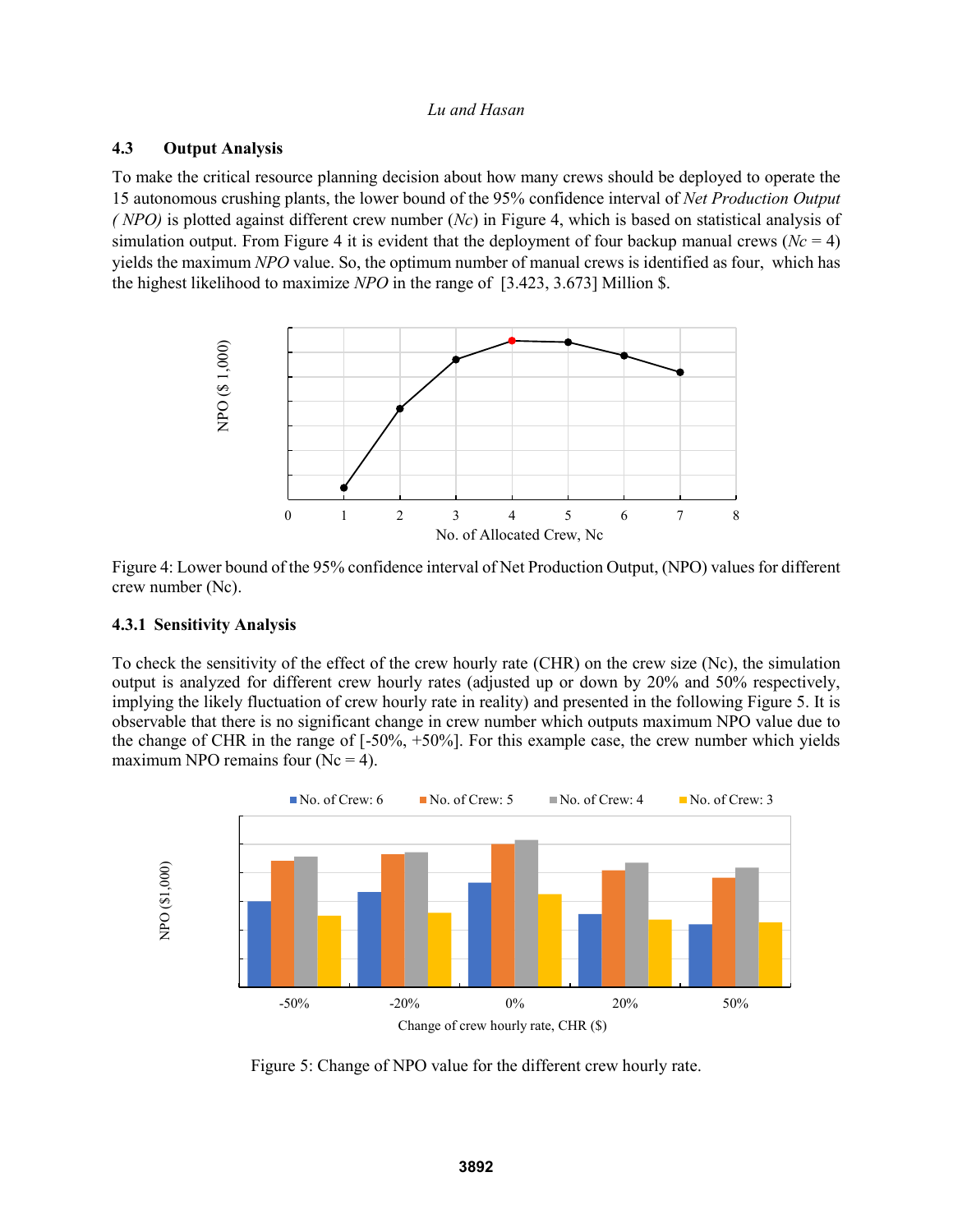## **4.3 Output Analysis**

To make the critical resource planning decision about how many crews should be deployed to operate the 15 autonomous crushing plants, the lower bound of the 95% confidence interval of *Net Production Output ( NPO)* is plotted against different crew number (*Nc*) in Figure 4, which is based on statistical analysis of simulation output. From Figure 4 it is evident that the deployment of four backup manual crews ( $Nc = 4$ ) yields the maximum *NPO* value. So, the optimum number of manual crews is identified as four, which has the highest likelihood to maximize *NPO* in the range of [3.423, 3.673] Million \$.



Figure 4: Lower bound of the 95% confidence interval of Net Production Output, (NPO) values for different crew number (Nc).

## **4.3.1 Sensitivity Analysis**

To check the sensitivity of the effect of the crew hourly rate (CHR) on the crew size (Nc), the simulation output is analyzed for different crew hourly rates (adjusted up or down by 20% and 50% respectively, implying the likely fluctuation of crew hourly rate in reality) and presented in the following Figure 5. It is observable that there is no significant change in crew number which outputs maximum NPO value due to the change of CHR in the range of [-50%, +50%]. For this example case, the crew number which yields maximum NPO remains four  $(Nc = 4)$ .



Figure 5: Change of NPO value for the different crew hourly rate.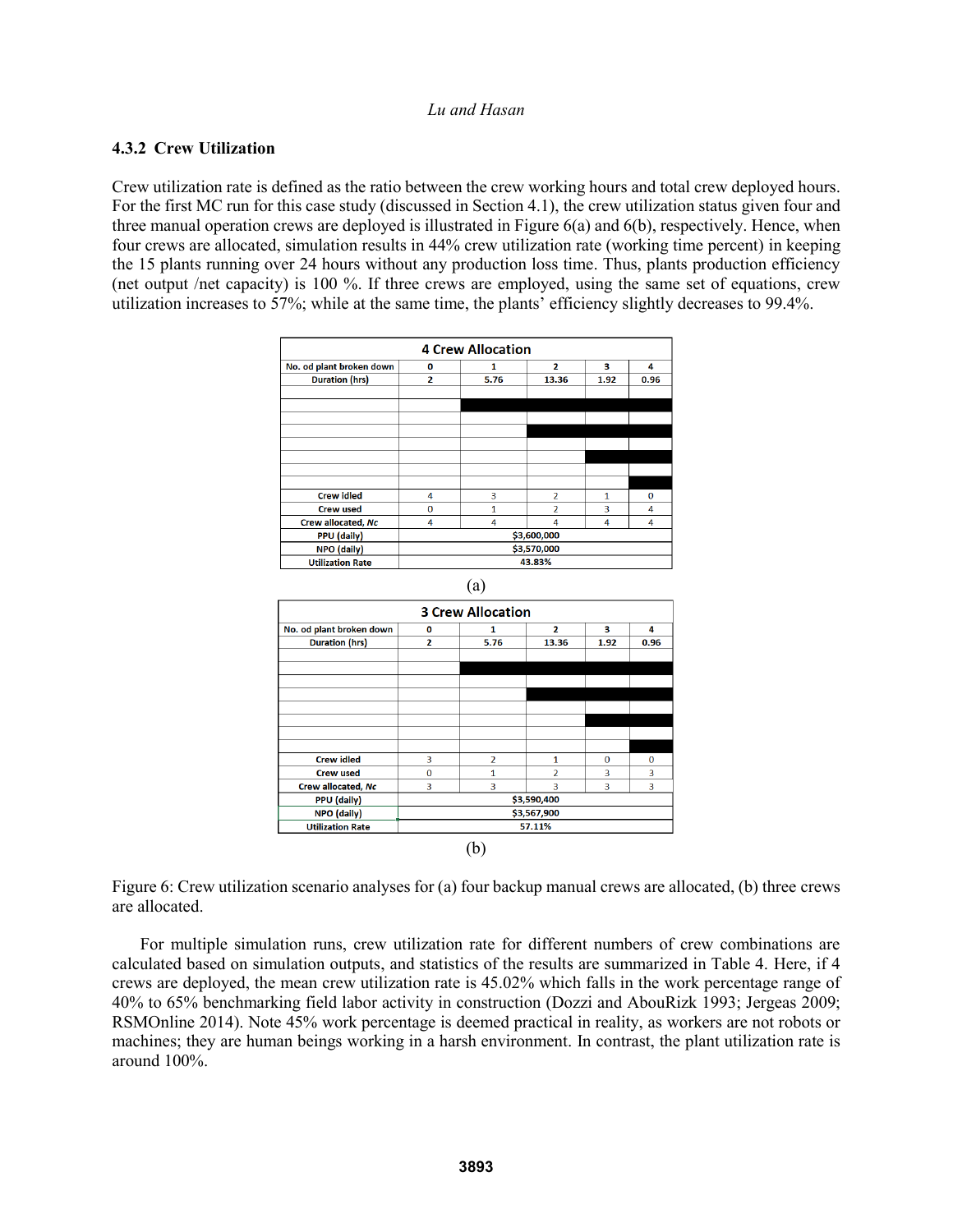## **4.3.2 Crew Utilization**

Crew utilization rate is defined as the ratio between the crew working hours and total crew deployed hours. For the first MC run for this case study (discussed in Section 4.1), the crew utilization status given four and three manual operation crews are deployed is illustrated in Figure  $6(a)$  and  $6(b)$ , respectively. Hence, when four crews are allocated, simulation results in 44% crew utilization rate (working time percent) in keeping the 15 plants running over 24 hours without any production loss time. Thus, plants production efficiency (net output /net capacity) is 100 %. If three crews are employed, using the same set of equations, crew utilization increases to 57%; while at the same time, the plants' efficiency slightly decreases to 99.4%.

| <b>4 Crew Allocation</b>                                     |              |      |                |              |              |  |  |  |
|--------------------------------------------------------------|--------------|------|----------------|--------------|--------------|--|--|--|
| No. od plant broken down<br>$\mathbf{z}$<br>з<br>4<br>0<br>1 |              |      |                |              |              |  |  |  |
| <b>Duration (hrs)</b>                                        | $\mathbf{z}$ | 5.76 | 13.36          | 1.92         | 0.96         |  |  |  |
|                                                              |              |      |                |              |              |  |  |  |
|                                                              |              |      |                |              |              |  |  |  |
|                                                              |              |      |                |              |              |  |  |  |
|                                                              |              |      |                |              |              |  |  |  |
|                                                              |              |      |                |              |              |  |  |  |
|                                                              |              |      |                |              |              |  |  |  |
|                                                              |              |      |                |              |              |  |  |  |
|                                                              |              |      |                |              |              |  |  |  |
| <b>Crew idled</b>                                            | 4            | 3    | $\overline{a}$ | $\mathbf{1}$ | $\mathbf{0}$ |  |  |  |
| <b>Crew used</b>                                             | $\Omega$     | 1    | $\overline{a}$ | 3            | 4            |  |  |  |
| Crew allocated, Nc                                           | 4            | 4    | 4              | 4            | 4            |  |  |  |
| <b>PPU</b> (daily)                                           | \$3,600,000  |      |                |              |              |  |  |  |
| NPO (daily)                                                  | \$3,570,000  |      |                |              |              |  |  |  |
| <b>Utilization Rate</b>                                      | 43.83%       |      |                |              |              |  |  |  |



Figure 6: Crew utilization scenario analyses for (a) four backup manual crews are allocated, (b) three crews are allocated.

For multiple simulation runs, crew utilization rate for different numbers of crew combinations are calculated based on simulation outputs, and statistics of the results are summarized in Table 4. Here, if 4 crews are deployed, the mean crew utilization rate is 45.02% which falls in the work percentage range of 40% to 65% benchmarking field labor activity in construction (Dozzi and AbouRizk 1993; Jergeas 2009; RSMOnline 2014). Note 45% work percentage is deemed practical in reality, as workers are not robots or machines; they are human beings working in a harsh environment. In contrast, the plant utilization rate is around 100%.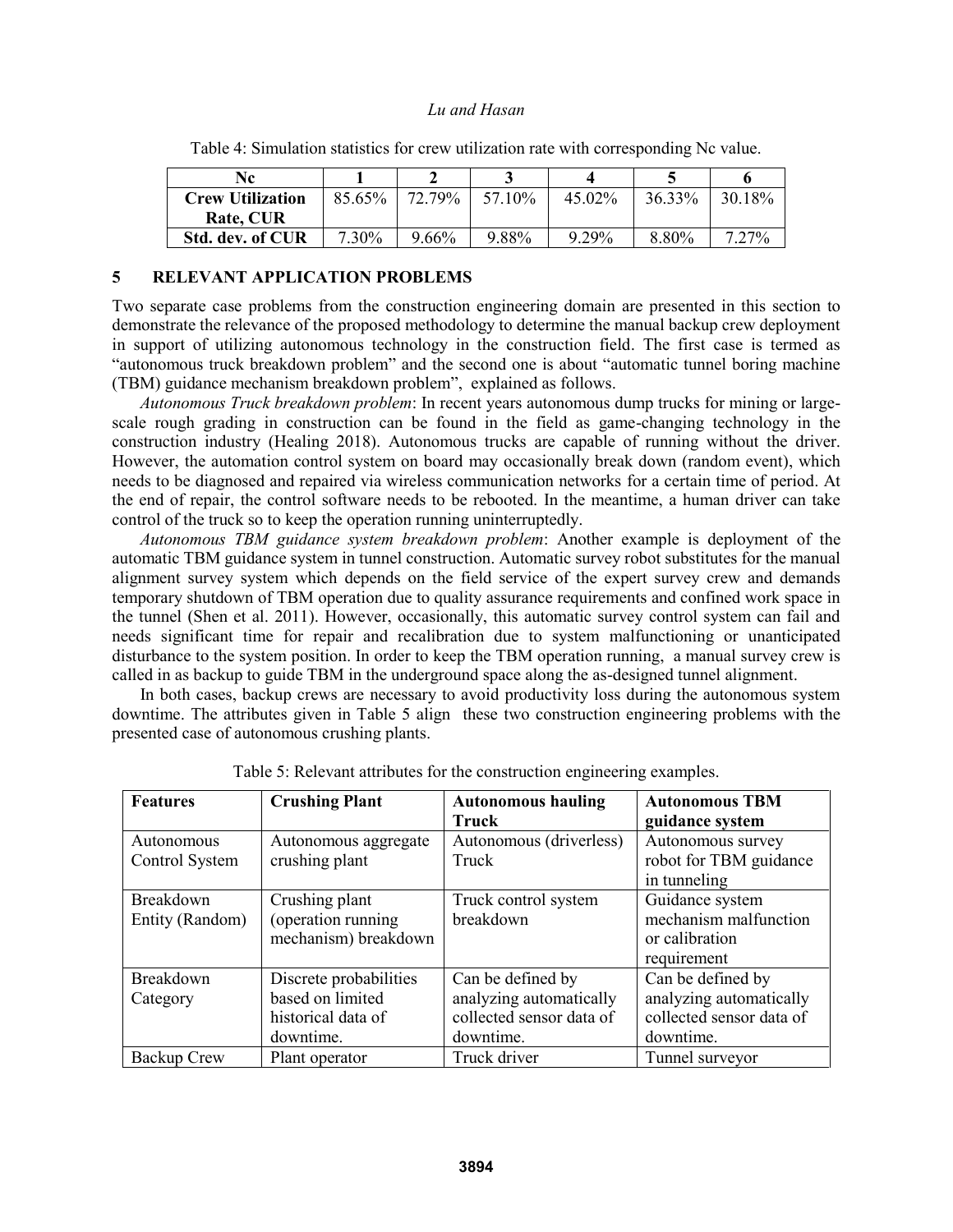| Nc.                     |          |          |        |           |        |                 |
|-------------------------|----------|----------|--------|-----------|--------|-----------------|
| <b>Crew Utilization</b> | 85.65%   | 72.79%   | 57 10% | $45.02\%$ | 36.33% | 30.18%          |
| Rate, CUR               |          |          |        |           |        |                 |
| <b>Std. dev. of CUR</b> | $7.30\%$ | $9.66\%$ | 9.88%  | 9.29%     | 8.80%  | 27 <sup>%</sup> |

Table 4: Simulation statistics for crew utilization rate with corresponding Nc value.

## **5 RELEVANT APPLICATION PROBLEMS**

Two separate case problems from the construction engineering domain are presented in this section to demonstrate the relevance of the proposed methodology to determine the manual backup crew deployment in support of utilizing autonomous technology in the construction field. The first case is termed as "autonomous truck breakdown problem" and the second one is about "automatic tunnel boring machine (TBM) guidance mechanism breakdown problem", explained as follows.

*Autonomous Truck breakdown problem*: In recent years autonomous dump trucks for mining or largescale rough grading in construction can be found in the field as game-changing technology in the construction industry (Healing 2018). Autonomous trucks are capable of running without the driver. However, the automation control system on board may occasionally break down (random event), which needs to be diagnosed and repaired via wireless communication networks for a certain time of period. At the end of repair, the control software needs to be rebooted. In the meantime, a human driver can take control of the truck so to keep the operation running uninterruptedly.

*Autonomous TBM guidance system breakdown problem*: Another example is deployment of the automatic TBM guidance system in tunnel construction. Automatic survey robot substitutes for the manual alignment survey system which depends on the field service of the expert survey crew and demands temporary shutdown of TBM operation due to quality assurance requirements and confined work space in the tunnel (Shen et al. 2011). However, occasionally, this automatic survey control system can fail and needs significant time for repair and recalibration due to system malfunctioning or unanticipated disturbance to the system position. In order to keep the TBM operation running, a manual survey crew is called in as backup to guide TBM in the underground space along the as-designed tunnel alignment.

In both cases, backup crews are necessary to avoid productivity loss during the autonomous system downtime. The attributes given in Table 5 align these two construction engineering problems with the presented case of autonomous crushing plants.

| <b>Features</b>  | <b>Crushing Plant</b>  | <b>Autonomous hauling</b> | <b>Autonomous TBM</b>    |
|------------------|------------------------|---------------------------|--------------------------|
|                  |                        | <b>Truck</b>              | guidance system          |
| Autonomous       | Autonomous aggregate   | Autonomous (driverless)   | Autonomous survey        |
| Control System   | crushing plant         | Truck                     | robot for TBM guidance   |
|                  |                        |                           | in tunneling             |
| <b>Breakdown</b> | Crushing plant         | Truck control system      | Guidance system          |
| Entity (Random)  | (operation running     | breakdown                 | mechanism malfunction    |
|                  | mechanism) breakdown   |                           | or calibration           |
|                  |                        |                           | requirement              |
| Breakdown        | Discrete probabilities | Can be defined by         | Can be defined by        |
| Category         | based on limited       | analyzing automatically   | analyzing automatically  |
|                  | historical data of     | collected sensor data of  | collected sensor data of |
|                  | downtime.              | downtime.                 | downtime.                |
| Backup Crew      | Plant operator         | Truck driver              | Tunnel surveyor          |

Table 5: Relevant attributes for the construction engineering examples.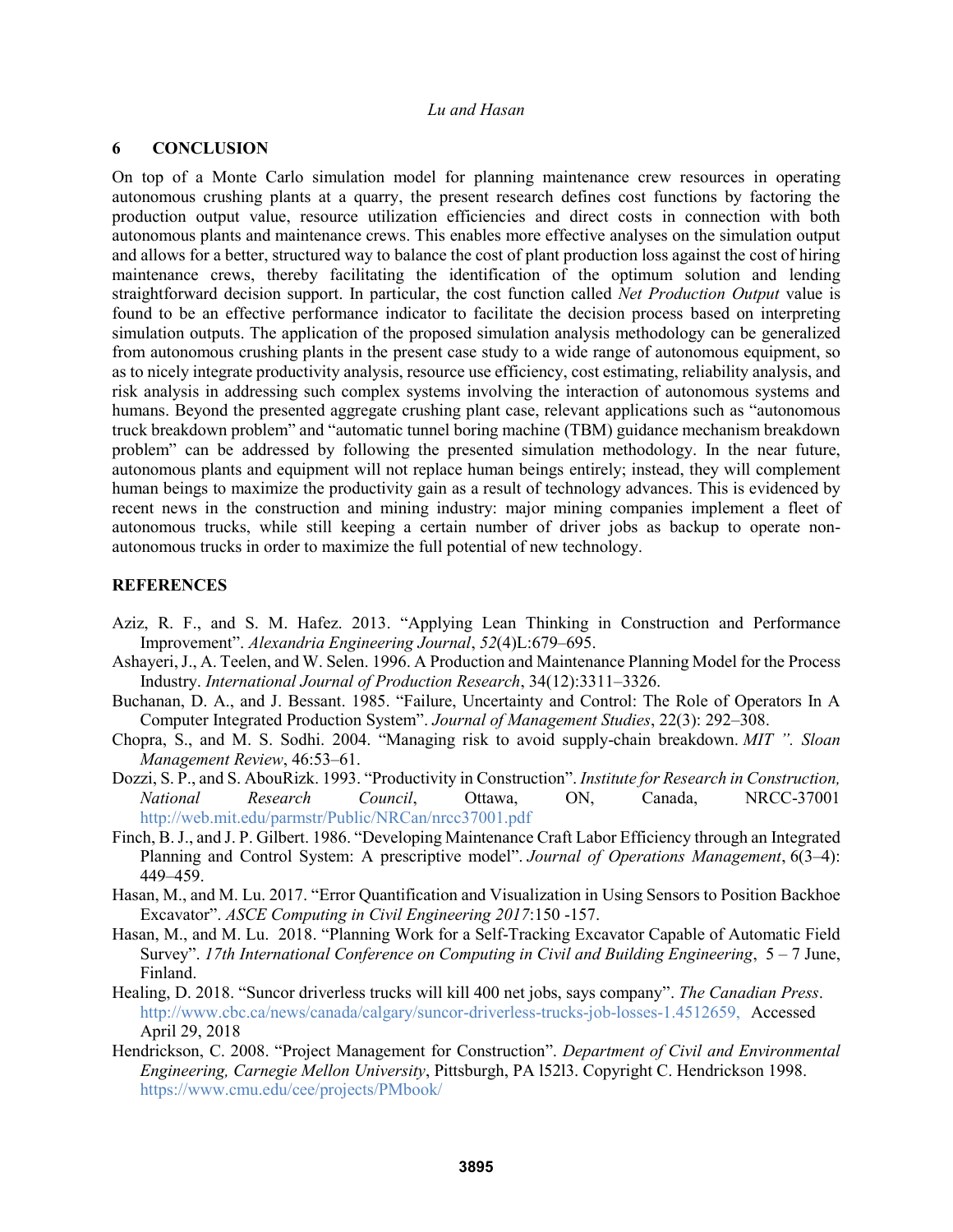## **6 CONCLUSION**

On top of a Monte Carlo simulation model for planning maintenance crew resources in operating autonomous crushing plants at a quarry, the present research defines cost functions by factoring the production output value, resource utilization efficiencies and direct costs in connection with both autonomous plants and maintenance crews. This enables more effective analyses on the simulation output and allows for a better, structured way to balance the cost of plant production loss against the cost of hiring maintenance crews, thereby facilitating the identification of the optimum solution and lending straightforward decision support. In particular, the cost function called *Net Production Output* value is found to be an effective performance indicator to facilitate the decision process based on interpreting simulation outputs. The application of the proposed simulation analysis methodology can be generalized from autonomous crushing plants in the present case study to a wide range of autonomous equipment, so as to nicely integrate productivity analysis, resource use efficiency, cost estimating, reliability analysis, and risk analysis in addressing such complex systems involving the interaction of autonomous systems and humans. Beyond the presented aggregate crushing plant case, relevant applications such as "autonomous truck breakdown problem" and "automatic tunnel boring machine (TBM) guidance mechanism breakdown problem" can be addressed by following the presented simulation methodology. In the near future, autonomous plants and equipment will not replace human beings entirely; instead, they will complement human beings to maximize the productivity gain as a result of technology advances. This is evidenced by recent news in the construction and mining industry: major mining companies implement a fleet of autonomous trucks, while still keeping a certain number of driver jobs as backup to operate nonautonomous trucks in order to maximize the full potential of new technology.

## **REFERENCES**

- Aziz, R. F., and S. M. Hafez. 2013. "Applying Lean Thinking in Construction and Performance Improvement". *Alexandria Engineering Journal*, *52*(4)L:679–695.
- Ashayeri, J., A. Teelen, and W. Selen. 1996. A Production and Maintenance Planning Model for the Process Industry. *International Journal of Production Research*, 34(12):3311–3326.
- Buchanan, D. A., and J. Bessant. 1985. "Failure, Uncertainty and Control: The Role of Operators In A Computer Integrated Production System". *Journal of Management Studies*, 22(3): 292–308.
- Chopra, S., and M. S. Sodhi. 2004. "Managing risk to avoid supply-chain breakdown. *MIT ". Sloan Management Review*, 46:53–61.
- Dozzi, S. P., and S. AbouRizk. 1993. "Productivity in Construction". *Institute for Research in Construction, National Research Council*, Ottawa, ON, Canada, NRCC-37001 http://web.mit.edu/parmstr/Public/NRCan/nrcc37001.pdf
- Finch, B. J., and J. P. Gilbert. 1986. "Developing Maintenance Craft Labor Efficiency through an Integrated Planning and Control System: A prescriptive model". *Journal of Operations Management*, 6(3–4): 449–459.
- Hasan, M., and M. Lu. 2017. "Error Quantification and Visualization in Using Sensors to Position Backhoe Excavator". *ASCE Computing in Civil Engineering 2017*:150 -157.
- Hasan, M., and M. Lu. 2018. "Planning Work for a Self-Tracking Excavator Capable of Automatic Field Survey". *17th International Conference on Computing in Civil and Building Engineering*, 5 – 7 June, Finland.
- Healing, D. 2018. "Suncor driverless trucks will kill 400 net jobs, says company". *The Canadian Press*. http://www.cbc.ca/news/canada/calgary/suncor-driverless-trucks-job-losses-1.4512659, Accessed April 29, 2018
- Hendrickson, C. 2008. "Project Management for Construction". *Department of Civil and Environmental Engineering, Carnegie Mellon University*, Pittsburgh, PA l52l3. Copyright C. Hendrickson 1998. https://www.cmu.edu/cee/projects/PMbook/